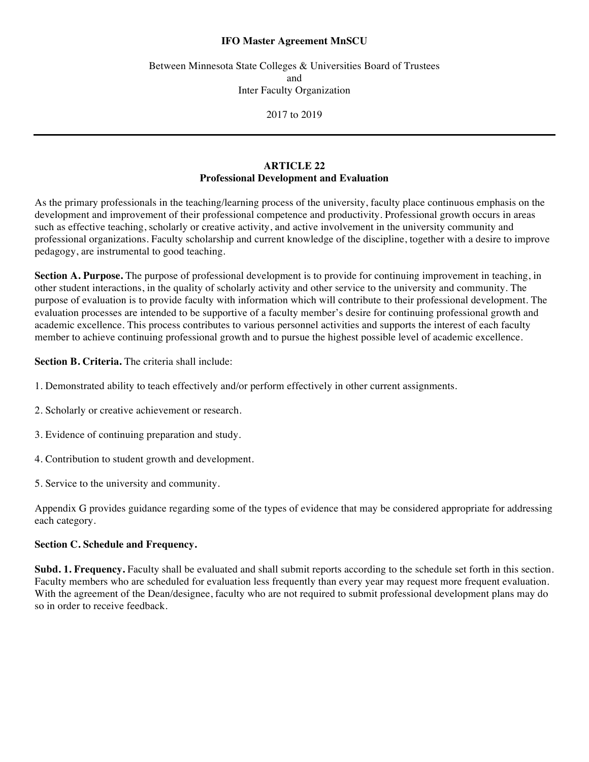## **IFO Master Agreement MnSCU**

Between Minnesota State Colleges & Universities Board of Trustees and Inter Faculty Organization

2017 to 2019

## **ARTICLE 22 Professional Development and Evaluation**

As the primary professionals in the teaching/learning process of the university, faculty place continuous emphasis on the development and improvement of their professional competence and productivity. Professional growth occurs in areas such as effective teaching, scholarly or creative activity, and active involvement in the university community and professional organizations. Faculty scholarship and current knowledge of the discipline, together with a desire to improve pedagogy, are instrumental to good teaching.

**Section A. Purpose.** The purpose of professional development is to provide for continuing improvement in teaching, in other student interactions, in the quality of scholarly activity and other service to the university and community. The purpose of evaluation is to provide faculty with information which will contribute to their professional development. The evaluation processes are intended to be supportive of a faculty member's desire for continuing professional growth and academic excellence. This process contributes to various personnel activities and supports the interest of each faculty member to achieve continuing professional growth and to pursue the highest possible level of academic excellence.

**Section B. Criteria.** The criteria shall include:

- 1. Demonstrated ability to teach effectively and/or perform effectively in other current assignments.
- 2. Scholarly or creative achievement or research.
- 3. Evidence of continuing preparation and study.
- 4. Contribution to student growth and development.
- 5. Service to the university and community.

Appendix G provides guidance regarding some of the types of evidence that may be considered appropriate for addressing each category.

## **Section C. Schedule and Frequency.**

**Subd. 1. Frequency.** Faculty shall be evaluated and shall submit reports according to the schedule set forth in this section. Faculty members who are scheduled for evaluation less frequently than every year may request more frequent evaluation. With the agreement of the Dean/designee, faculty who are not required to submit professional development plans may do so in order to receive feedback.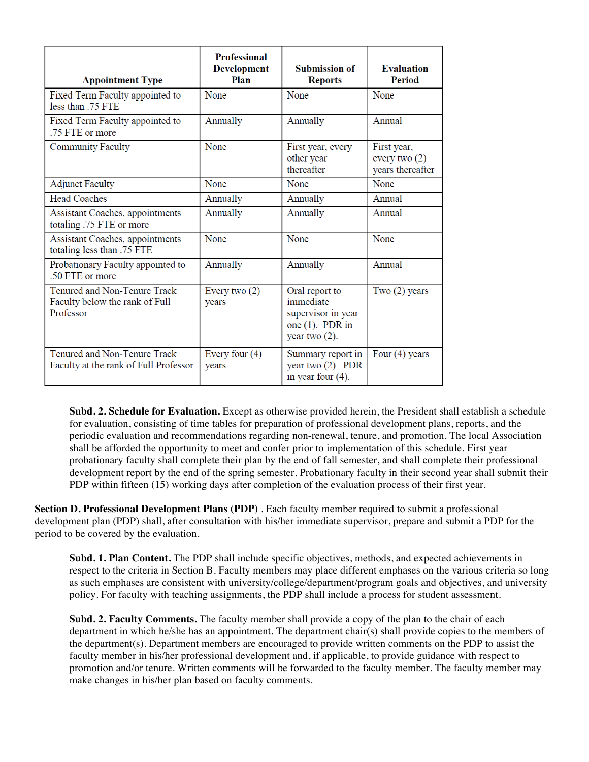| <b>Appointment Type</b>                                                     | <b>Professional</b><br><b>Development</b><br>Plan | <b>Submission of</b><br><b>Reports</b>                                                      | <b>Evaluation</b><br>Period                        |
|-----------------------------------------------------------------------------|---------------------------------------------------|---------------------------------------------------------------------------------------------|----------------------------------------------------|
| Fixed Term Faculty appointed to<br>less than .75 FTE                        | None                                              | None                                                                                        | None                                               |
| Fixed Term Faculty appointed to<br>.75 FTE or more                          | Annually                                          | Annually                                                                                    | Annual                                             |
| <b>Community Faculty</b>                                                    | None                                              | First year, every<br>other year<br>thereafter                                               | First year,<br>every two $(2)$<br>years thereafter |
| <b>Adjunct Faculty</b>                                                      | None                                              | None                                                                                        | None                                               |
| <b>Head Coaches</b>                                                         | Annually                                          | Annually                                                                                    | Annual                                             |
| Assistant Coaches, appointments<br>totaling .75 FTE or more                 | Annually                                          | Annually                                                                                    | Annual                                             |
| Assistant Coaches, appointments<br>totaling less than .75 FTE               | None                                              | None                                                                                        | None                                               |
| Probationary Faculty appointed to<br>.50 FTE or more                        | Annually                                          | Annually                                                                                    | Annual                                             |
| Tenured and Non-Tenure Track<br>Faculty below the rank of Full<br>Professor | Every two $(2)$<br>vears                          | Oral report to<br>immediate<br>supervisor in year<br>one $(1)$ . PDR in<br>year two $(2)$ . | Two $(2)$ years                                    |
| Tenured and Non-Tenure Track<br>Faculty at the rank of Full Professor       | Every four $(4)$<br>years                         | Summary report in<br>year two $(2)$ . PDR<br>in year four $(4)$ .                           | Four $(4)$ years                                   |

**Subd. 2. Schedule for Evaluation.** Except as otherwise provided herein, the President shall establish a schedule for evaluation, consisting of time tables for preparation of professional development plans, reports, and the periodic evaluation and recommendations regarding non-renewal, tenure, and promotion. The local Association shall be afforded the opportunity to meet and confer prior to implementation of this schedule. First year probationary faculty shall complete their plan by the end of fall semester, and shall complete their professional development report by the end of the spring semester. Probationary faculty in their second year shall submit their PDP within fifteen (15) working days after completion of the evaluation process of their first year.

**Section D. Professional Development Plans (PDP)** . Each faculty member required to submit a professional development plan (PDP) shall, after consultation with his/her immediate supervisor, prepare and submit a PDP for the period to be covered by the evaluation.

**Subd. 1. Plan Content.** The PDP shall include specific objectives, methods, and expected achievements in respect to the criteria in Section B. Faculty members may place different emphases on the various criteria so long as such emphases are consistent with university/college/department/program goals and objectives, and university policy. For faculty with teaching assignments, the PDP shall include a process for student assessment.

**Subd. 2. Faculty Comments.** The faculty member shall provide a copy of the plan to the chair of each department in which he/she has an appointment. The department chair(s) shall provide copies to the members of the department(s). Department members are encouraged to provide written comments on the PDP to assist the faculty member in his/her professional development and, if applicable, to provide guidance with respect to promotion and/or tenure. Written comments will be forwarded to the faculty member. The faculty member may make changes in his/her plan based on faculty comments.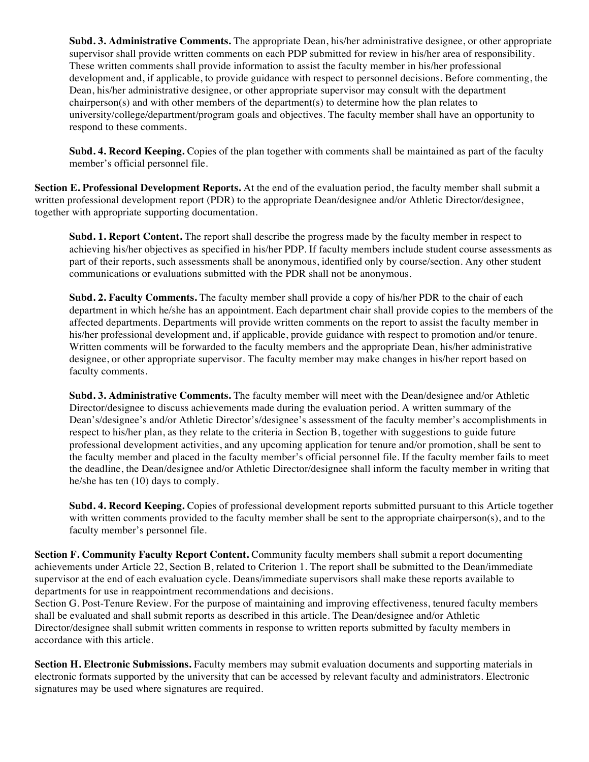**Subd. 3. Administrative Comments.** The appropriate Dean, his/her administrative designee, or other appropriate supervisor shall provide written comments on each PDP submitted for review in his/her area of responsibility. These written comments shall provide information to assist the faculty member in his/her professional development and, if applicable, to provide guidance with respect to personnel decisions. Before commenting, the Dean, his/her administrative designee, or other appropriate supervisor may consult with the department chairperson(s) and with other members of the department(s) to determine how the plan relates to university/college/department/program goals and objectives. The faculty member shall have an opportunity to respond to these comments.

**Subd. 4. Record Keeping.** Copies of the plan together with comments shall be maintained as part of the faculty member's official personnel file.

**Section E. Professional Development Reports.** At the end of the evaluation period, the faculty member shall submit a written professional development report (PDR) to the appropriate Dean/designee and/or Athletic Director/designee, together with appropriate supporting documentation.

**Subd. 1. Report Content.** The report shall describe the progress made by the faculty member in respect to achieving his/her objectives as specified in his/her PDP. If faculty members include student course assessments as part of their reports, such assessments shall be anonymous, identified only by course/section. Any other student communications or evaluations submitted with the PDR shall not be anonymous.

**Subd. 2. Faculty Comments.** The faculty member shall provide a copy of his/her PDR to the chair of each department in which he/she has an appointment. Each department chair shall provide copies to the members of the affected departments. Departments will provide written comments on the report to assist the faculty member in his/her professional development and, if applicable, provide guidance with respect to promotion and/or tenure. Written comments will be forwarded to the faculty members and the appropriate Dean, his/her administrative designee, or other appropriate supervisor. The faculty member may make changes in his/her report based on faculty comments.

**Subd. 3. Administrative Comments.** The faculty member will meet with the Dean/designee and/or Athletic Director/designee to discuss achievements made during the evaluation period. A written summary of the Dean's/designee's and/or Athletic Director's/designee's assessment of the faculty member's accomplishments in respect to his/her plan, as they relate to the criteria in Section B, together with suggestions to guide future professional development activities, and any upcoming application for tenure and/or promotion, shall be sent to the faculty member and placed in the faculty member's official personnel file. If the faculty member fails to meet the deadline, the Dean/designee and/or Athletic Director/designee shall inform the faculty member in writing that he/she has ten (10) days to comply.

**Subd. 4. Record Keeping.** Copies of professional development reports submitted pursuant to this Article together with written comments provided to the faculty member shall be sent to the appropriate chairperson(s), and to the faculty member's personnel file.

**Section F. Community Faculty Report Content.** Community faculty members shall submit a report documenting achievements under Article 22, Section B, related to Criterion 1. The report shall be submitted to the Dean/immediate supervisor at the end of each evaluation cycle. Deans/immediate supervisors shall make these reports available to departments for use in reappointment recommendations and decisions.

Section G. Post-Tenure Review. For the purpose of maintaining and improving effectiveness, tenured faculty members shall be evaluated and shall submit reports as described in this article. The Dean/designee and/or Athletic Director/designee shall submit written comments in response to written reports submitted by faculty members in accordance with this article.

**Section H. Electronic Submissions.** Faculty members may submit evaluation documents and supporting materials in electronic formats supported by the university that can be accessed by relevant faculty and administrators. Electronic signatures may be used where signatures are required.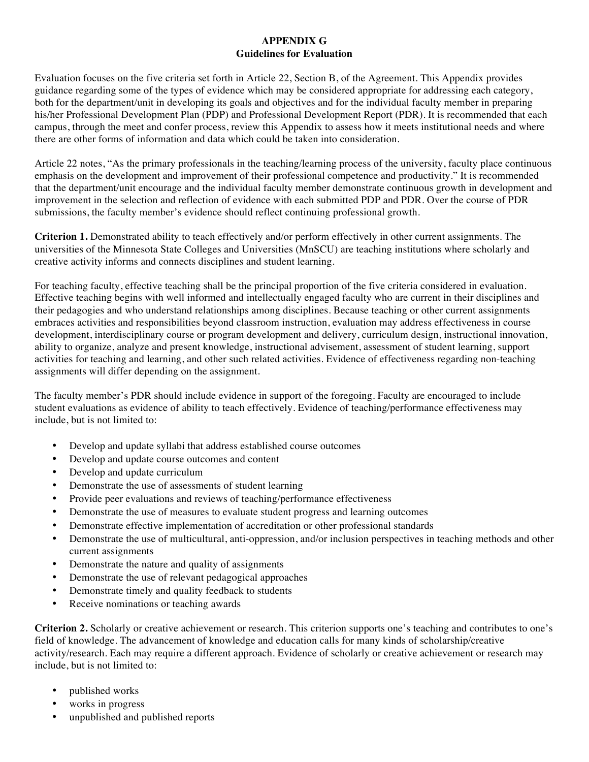## **APPENDIX G Guidelines for Evaluation**

Evaluation focuses on the five criteria set forth in Article 22, Section B, of the Agreement. This Appendix provides guidance regarding some of the types of evidence which may be considered appropriate for addressing each category, both for the department/unit in developing its goals and objectives and for the individual faculty member in preparing his/her Professional Development Plan (PDP) and Professional Development Report (PDR). It is recommended that each campus, through the meet and confer process, review this Appendix to assess how it meets institutional needs and where there are other forms of information and data which could be taken into consideration.

Article 22 notes, "As the primary professionals in the teaching/learning process of the university, faculty place continuous emphasis on the development and improvement of their professional competence and productivity." It is recommended that the department/unit encourage and the individual faculty member demonstrate continuous growth in development and improvement in the selection and reflection of evidence with each submitted PDP and PDR. Over the course of PDR submissions, the faculty member's evidence should reflect continuing professional growth.

**Criterion 1.** Demonstrated ability to teach effectively and/or perform effectively in other current assignments. The universities of the Minnesota State Colleges and Universities (MnSCU) are teaching institutions where scholarly and creative activity informs and connects disciplines and student learning.

For teaching faculty, effective teaching shall be the principal proportion of the five criteria considered in evaluation. Effective teaching begins with well informed and intellectually engaged faculty who are current in their disciplines and their pedagogies and who understand relationships among disciplines. Because teaching or other current assignments embraces activities and responsibilities beyond classroom instruction, evaluation may address effectiveness in course development, interdisciplinary course or program development and delivery, curriculum design, instructional innovation, ability to organize, analyze and present knowledge, instructional advisement, assessment of student learning, support activities for teaching and learning, and other such related activities. Evidence of effectiveness regarding non-teaching assignments will differ depending on the assignment.

The faculty member's PDR should include evidence in support of the foregoing. Faculty are encouraged to include student evaluations as evidence of ability to teach effectively. Evidence of teaching/performance effectiveness may include, but is not limited to:

- Develop and update syllabi that address established course outcomes
- Develop and update course outcomes and content
- Develop and update curriculum
- Demonstrate the use of assessments of student learning
- Provide peer evaluations and reviews of teaching/performance effectiveness
- Demonstrate the use of measures to evaluate student progress and learning outcomes
- Demonstrate effective implementation of accreditation or other professional standards
- Demonstrate the use of multicultural, anti-oppression, and/or inclusion perspectives in teaching methods and other current assignments
- Demonstrate the nature and quality of assignments
- Demonstrate the use of relevant pedagogical approaches
- Demonstrate timely and quality feedback to students
- Receive nominations or teaching awards

**Criterion 2.** Scholarly or creative achievement or research. This criterion supports one's teaching and contributes to one's field of knowledge. The advancement of knowledge and education calls for many kinds of scholarship/creative activity/research. Each may require a different approach. Evidence of scholarly or creative achievement or research may include, but is not limited to:

- published works
- works in progress
- unpublished and published reports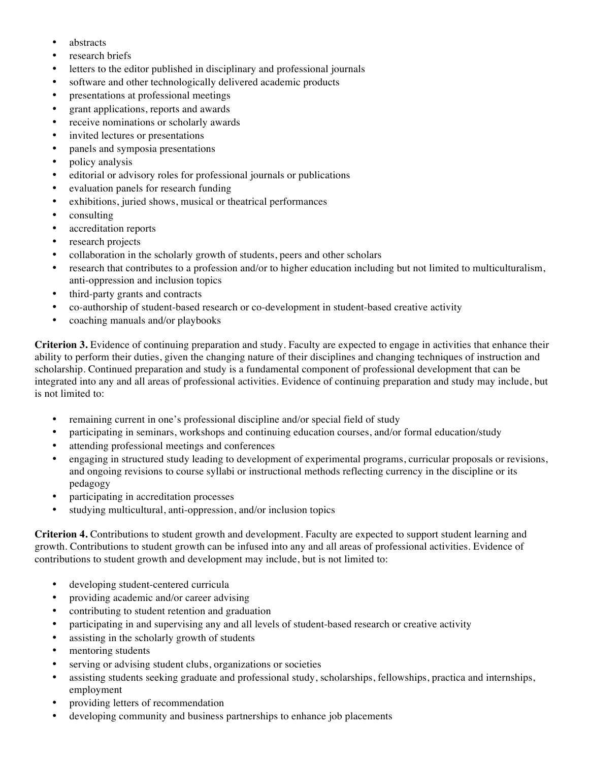- abstracts
- research briefs
- letters to the editor published in disciplinary and professional journals
- software and other technologically delivered academic products
- presentations at professional meetings
- grant applications, reports and awards
- receive nominations or scholarly awards
- invited lectures or presentations
- panels and symposia presentations
- policy analysis
- editorial or advisory roles for professional journals or publications
- evaluation panels for research funding
- exhibitions, juried shows, musical or theatrical performances
- consulting
- accreditation reports
- research projects
- collaboration in the scholarly growth of students, peers and other scholars
- research that contributes to a profession and/or to higher education including but not limited to multiculturalism, anti-oppression and inclusion topics
- third-party grants and contracts
- co-authorship of student-based research or co-development in student-based creative activity
- coaching manuals and/or playbooks

**Criterion 3.** Evidence of continuing preparation and study. Faculty are expected to engage in activities that enhance their ability to perform their duties, given the changing nature of their disciplines and changing techniques of instruction and scholarship. Continued preparation and study is a fundamental component of professional development that can be integrated into any and all areas of professional activities. Evidence of continuing preparation and study may include, but is not limited to:

- remaining current in one's professional discipline and/or special field of study
- participating in seminars, workshops and continuing education courses, and/or formal education/study
- attending professional meetings and conferences
- engaging in structured study leading to development of experimental programs, curricular proposals or revisions, and ongoing revisions to course syllabi or instructional methods reflecting currency in the discipline or its pedagogy
- participating in accreditation processes
- studying multicultural, anti-oppression, and/or inclusion topics

**Criterion 4.** Contributions to student growth and development. Faculty are expected to support student learning and growth. Contributions to student growth can be infused into any and all areas of professional activities. Evidence of contributions to student growth and development may include, but is not limited to:

- developing student-centered curricula
- providing academic and/or career advising
- contributing to student retention and graduation
- participating in and supervising any and all levels of student-based research or creative activity
- assisting in the scholarly growth of students
- mentoring students
- serving or advising student clubs, organizations or societies
- assisting students seeking graduate and professional study, scholarships, fellowships, practica and internships, employment
- providing letters of recommendation
- developing community and business partnerships to enhance job placements